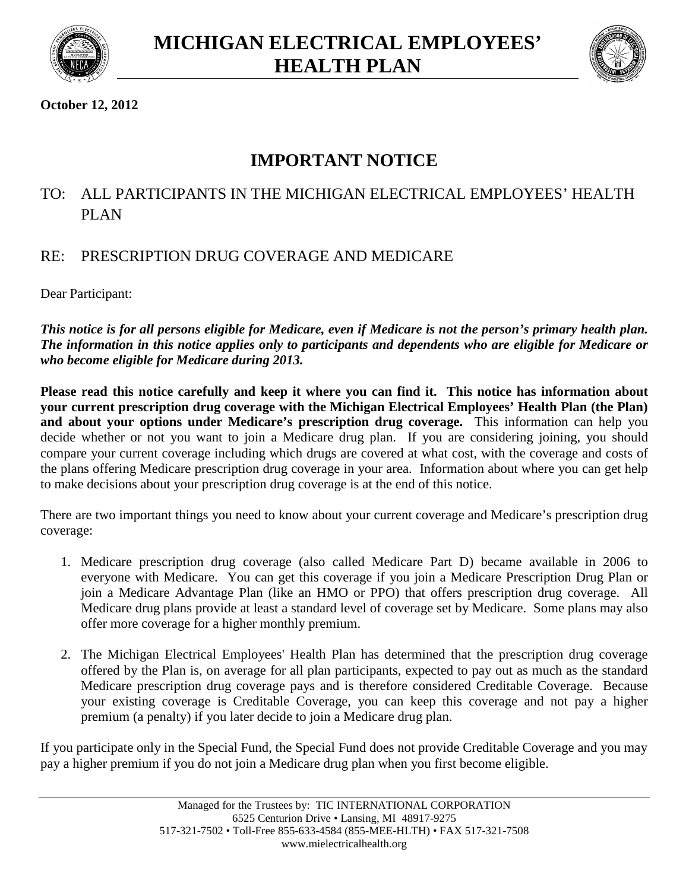



## **October 12, 2012**

# **IMPORTANT NOTICE**

# TO: ALL PARTICIPANTS IN THE MICHIGAN ELECTRICAL EMPLOYEES' HEALTH PLAN

## RE: PRESCRIPTION DRUG COVERAGE AND MEDICARE

Dear Participant:

*This notice is for all persons eligible for Medicare, even if Medicare is not the person's primary health plan. The information in this notice applies only to participants and dependents who are eligible for Medicare or who become eligible for Medicare during 2013.*

**Please read this notice carefully and keep it where you can find it. This notice has information about your current prescription drug coverage with the Michigan Electrical Employees' Health Plan (the Plan)** and about your options under Medicare's prescription drug coverage. This information can help you decide whether or not you want to join a Medicare drug plan. If you are considering joining, you should compare your current coverage including which drugs are covered at what cost, with the coverage and costs of the plans offering Medicare prescription drug coverage in your area. Information about where you can get help to make decisions about your prescription drug coverage is at the end of this notice.

There are two important things you need to know about your current coverage and Medicare's prescription drug coverage:

- 1. Medicare prescription drug coverage (also called Medicare Part D) became available in 2006 to everyone with Medicare. You can get this coverage if you join a Medicare Prescription Drug Plan or join a Medicare Advantage Plan (like an HMO or PPO) that offers prescription drug coverage. All Medicare drug plans provide at least a standard level of coverage set by Medicare. Some plans may also offer more coverage for a higher monthly premium.
- 2. The Michigan Electrical Employees' Health Plan has determined that the prescription drug coverage offered by the Plan is, on average for all plan participants, expected to pay out as much as the standard Medicare prescription drug coverage pays and is therefore considered Creditable Coverage. Because your existing coverage is Creditable Coverage, you can keep this coverage and not pay a higher premium (a penalty) if you later decide to join a Medicare drug plan.

If you participate only in the Special Fund, the Special Fund does not provide Creditable Coverage and you may pay a higher premium if you do not join a Medicare drug plan when you first become eligible.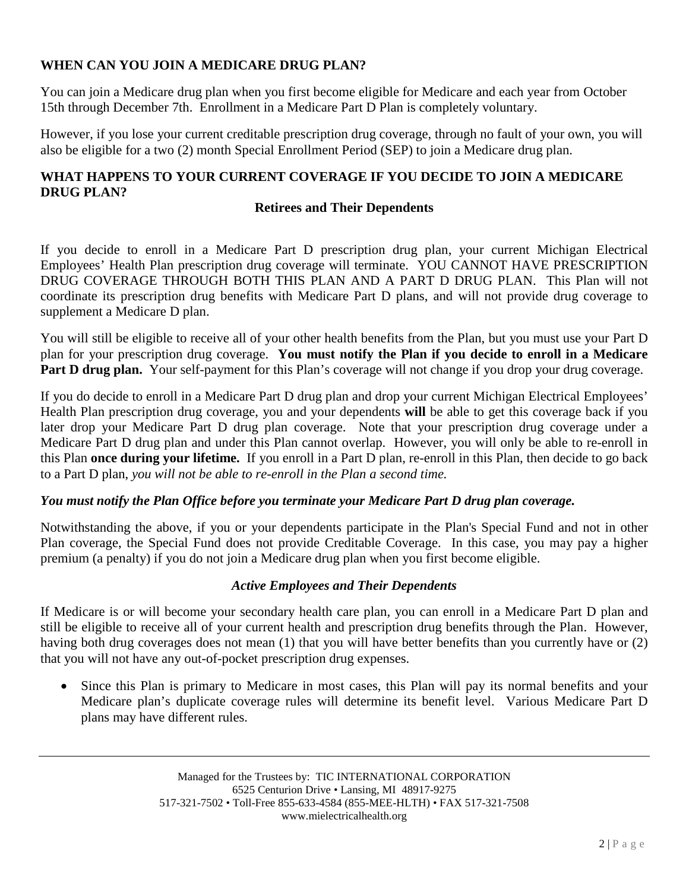## **WHEN CAN YOU JOIN A MEDICARE DRUG PLAN?**

You can join a Medicare drug plan when you first become eligible for Medicare and each year from October 15th through December 7th. Enrollment in a Medicare Part D Plan is completely voluntary.

However, if you lose your current creditable prescription drug coverage, through no fault of your own, you will also be eligible for a two (2) month Special Enrollment Period (SEP) to join a Medicare drug plan.

## **WHAT HAPPENS TO YOUR CURRENT COVERAGE IF YOU DECIDE TO JOIN A MEDICARE DRUG PLAN?**

#### **Retirees and Their Dependents**

If you decide to enroll in a Medicare Part D prescription drug plan, your current Michigan Electrical Employees' Health Plan prescription drug coverage will terminate. YOU CANNOT HAVE PRESCRIPTION DRUG COVERAGE THROUGH BOTH THIS PLAN AND A PART D DRUG PLAN. This Plan will not coordinate its prescription drug benefits with Medicare Part D plans, and will not provide drug coverage to supplement a Medicare D plan.

You will still be eligible to receive all of your other health benefits from the Plan, but you must use your Part D plan for your prescription drug coverage. **You must notify the Plan if you decide to enroll in a Medicare** Part D drug plan. Your self-payment for this Plan's coverage will not change if you drop your drug coverage.

If you do decide to enroll in a Medicare Part D drug plan and drop your current Michigan Electrical Employees' Health Plan prescription drug coverage, you and your dependents **will** be able to get this coverage back if you later drop your Medicare Part D drug plan coverage. Note that your prescription drug coverage under a Medicare Part D drug plan and under this Plan cannot overlap. However, you will only be able to re-enroll in this Plan **once during your lifetime.** If you enroll in a Part D plan, re-enroll in this Plan, then decide to go back to a Part D plan, *you will not be able to re-enroll in the Plan a second time.*

### *You must notify the Plan Office before you terminate your Medicare Part D drug plan coverage.*

Notwithstanding the above, if you or your dependents participate in the Plan's Special Fund and not in other Plan coverage, the Special Fund does not provide Creditable Coverage. In this case, you may pay a higher premium (a penalty) if you do not join a Medicare drug plan when you first become eligible.

### *Active Employees and Their Dependents*

If Medicare is or will become your secondary health care plan, you can enroll in a Medicare Part D plan and still be eligible to receive all of your current health and prescription drug benefits through the Plan. However, having both drug coverages does not mean (1) that you will have better benefits than you currently have or (2) that you will not have any out-of-pocket prescription drug expenses.

 Since this Plan is primary to Medicare in most cases, this Plan will pay its normal benefits and your Medicare plan's duplicate coverage rules will determine its benefit level. Various Medicare Part D plans may have different rules.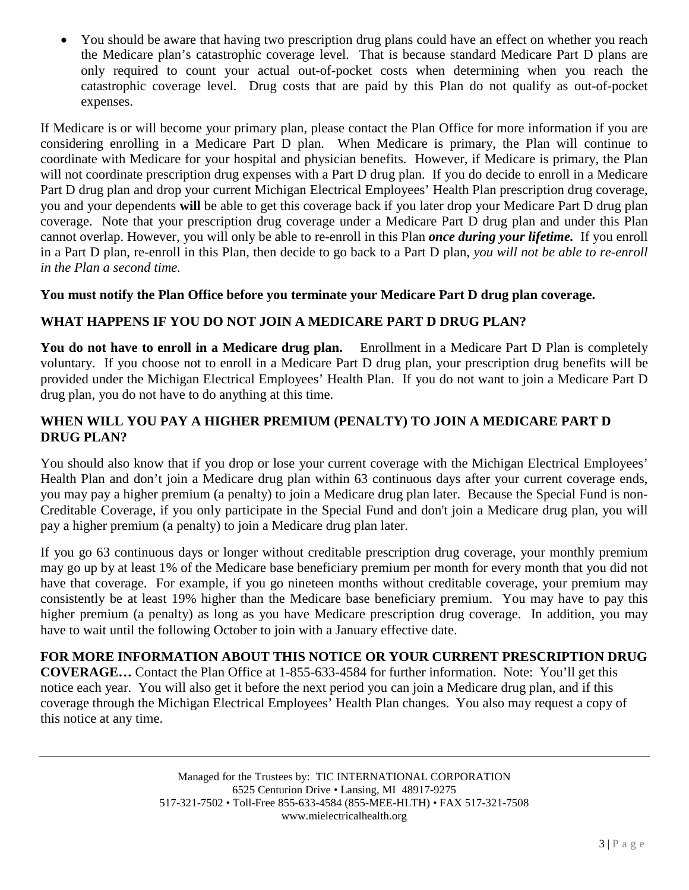You should be aware that having two prescription drug plans could have an effect on whether you reach the Medicare plan's catastrophic coverage level. That is because standard Medicare Part D plans are only required to count your actual out-of-pocket costs when determining when you reach the catastrophic coverage level. Drug costs that are paid by this Plan do not qualify as out-of-pocket expenses.

If Medicare is or will become your primary plan, please contact the Plan Office for more information if you are considering enrolling in a Medicare Part D plan. When Medicare is primary, the Plan will continue to coordinate with Medicare for your hospital and physician benefits. However, if Medicare is primary, the Plan will not coordinate prescription drug expenses with a Part D drug plan. If you do decide to enroll in a Medicare Part D drug plan and drop your current Michigan Electrical Employees' Health Plan prescription drug coverage, you and your dependents **will** be able to get this coverage back if you later drop your Medicare Part D drug plan coverage. Note that your prescription drug coverage under a Medicare Part D drug plan and under this Plan cannot overlap. However, you will only be able to re-enroll in this Plan *once during your lifetime.* If you enroll in a Part D plan, re-enroll in this Plan, then decide to go back to a Part D plan, *you will not be able to re-enroll in the Plan a second time.*

### **You must notify the Plan Office before you terminate your Medicare Part D drug plan coverage.**

### **WHAT HAPPENS IF YOU DO NOT JOIN A MEDICARE PART D DRUG PLAN?**

**You do not have to enroll in a Medicare drug plan.** Enrollment in a Medicare Part D Plan is completely voluntary. If you choose not to enroll in a Medicare Part D drug plan, your prescription drug benefits will be provided under the Michigan Electrical Employees' Health Plan. If you do not want to join a Medicare Part D drug plan, you do not have to do anything at this time.

### **WHEN WILL YOU PAY A HIGHER PREMIUM (PENALTY) TO JOIN A MEDICARE PART D DRUG PLAN?**

You should also know that if you drop or lose your current coverage with the Michigan Electrical Employees' Health Plan and don't join a Medicare drug plan within 63 continuous days after your current coverage ends, you may pay a higher premium (a penalty) to join a Medicare drug plan later. Because the Special Fund is non-Creditable Coverage, if you only participate in the Special Fund and don't join a Medicare drug plan, you will pay a higher premium (a penalty) to join a Medicare drug plan later.

If you go 63 continuous days or longer without creditable prescription drug coverage, your monthly premium may go up by at least 1% of the Medicare base beneficiary premium per month for every month that you did not have that coverage. For example, if you go nineteen months without creditable coverage, your premium may consistently be at least 19% higher than the Medicare base beneficiary premium. You may have to pay this higher premium (a penalty) as long as you have Medicare prescription drug coverage. In addition, you may have to wait until the following October to join with a January effective date.

#### **FOR MORE INFORMATION ABOUT THIS NOTICE OR YOUR CURRENT PRESCRIPTION DRUG**

**COVERAGE…** Contact the Plan Office at 1-855-633-4584 for further information. Note: You'll get this notice each year. You will also get it before the next period you can join a Medicare drug plan, and if this coverage through the Michigan Electrical Employees' Health Plan changes. You also may request a copy of this notice at any time.